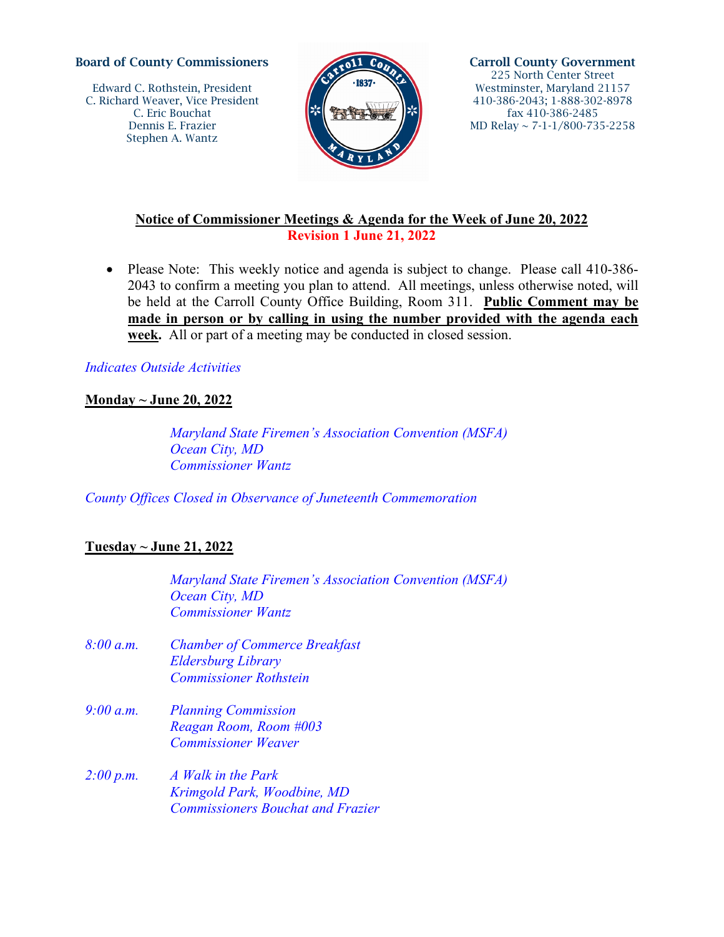#### Board of County Commissioners

Edward C. Rothstein, President C. Richard Weaver, Vice President C. Eric Bouchat Dennis E. Frazier Stephen A. Wantz



Carroll County Government 225 North Center Street Westminster, Maryland 21157 410-386-2043; 1-888-302-8978 fax 410-386-2485 MD Relay ~ 7-1-1/800-735-2258

# **Notice of Commissioner Meetings & Agenda for the Week of June 20, 2022 Revision 1 June 21, 2022**

• Please Note: This weekly notice and agenda is subject to change. Please call 410-386-2043 to confirm a meeting you plan to attend. All meetings, unless otherwise noted, will be held at the Carroll County Office Building, Room 311. **Public Comment may be made in person or by calling in using the number provided with the agenda each week.** All or part of a meeting may be conducted in closed session.

## *Indicates Outside Activities*

## **Monday ~ June 20, 2022**

 *Maryland State Firemen's Association Convention (MSFA) Ocean City, MD Commissioner Wantz* 

*County Offices Closed in Observance of Juneteenth Commemoration* 

# **Tuesday ~ June 21, 2022**

*Maryland State Firemen's Association Convention (MSFA) Ocean City, MD Commissioner Wantz* 

- *8:00 a.m. Chamber of Commerce Breakfast Eldersburg Library Commissioner Rothstein*
- *9:00 a.m. Planning Commission Reagan Room, Room #003 Commissioner Weaver*
- *2:00 p.m. A Walk in the Park Krimgold Park, Woodbine, MD Commissioners Bouchat and Frazier*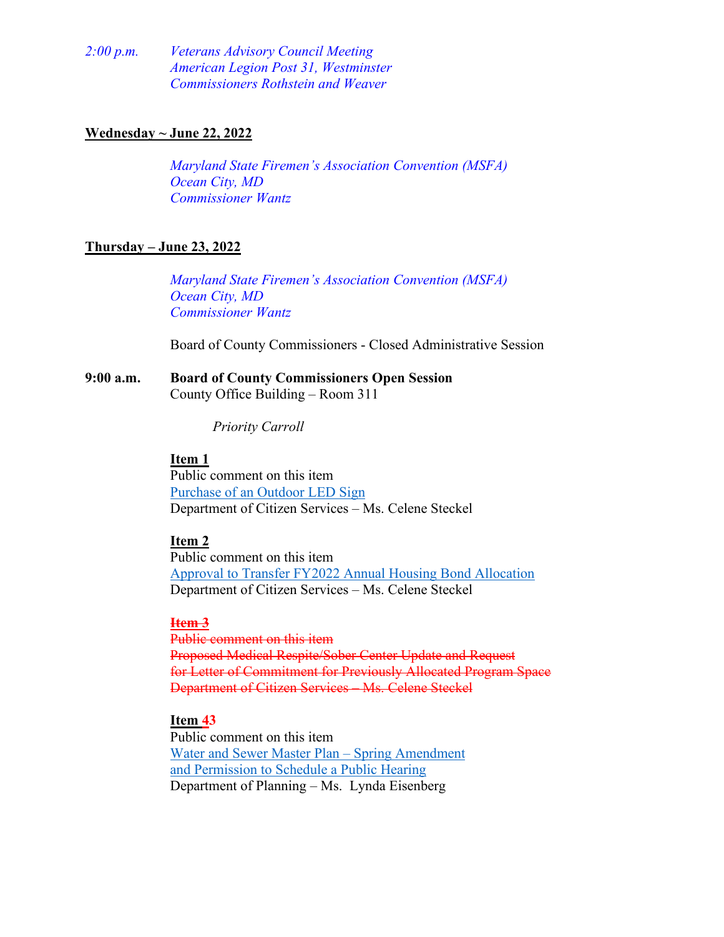*2:00 p.m. Veterans Advisory Council Meeting American Legion Post 31, Westminster Commissioners Rothstein and Weaver* 

#### **Wednesday ~ June 22, 2022**

*Maryland State Firemen's Association Convention (MSFA) Ocean City, MD Commissioner Wantz* 

## **Thursday – June 23, 2022**

*Maryland State Firemen's Association Convention (MSFA) Ocean City, MD Commissioner Wantz* 

Board of County Commissioners - Closed Administrative Session

#### **9:00 a.m. Board of County Commissioners Open Session** County Office Building – Room 311

*Priority Carroll*

#### **Item 1**

Public comment on this item [Purchase of an Outdoor LED Sign](#page-4-0) Department of Citizen Services – Ms. Celene Steckel

#### **Item 2**

Public comment on this item [Approval to Transfer FY2022 Annual Housing Bond Allocation](#page-5-0) Department of Citizen Services – Ms. Celene Steckel

#### **Item 3**

Public comment on this item Proposed Medical Respite/Sober Center Update and Request for Letter of Commitment for Previously Allocated Program Space Department of Citizen Services – Ms. Celene Steckel

#### **Item 43**

Public comment on this item [Water and Sewer Master Plan – Spring Amendment](#page-6-0)  [and Permission to Schedule a Public Hearing](#page-6-0) Department of Planning – Ms. Lynda Eisenberg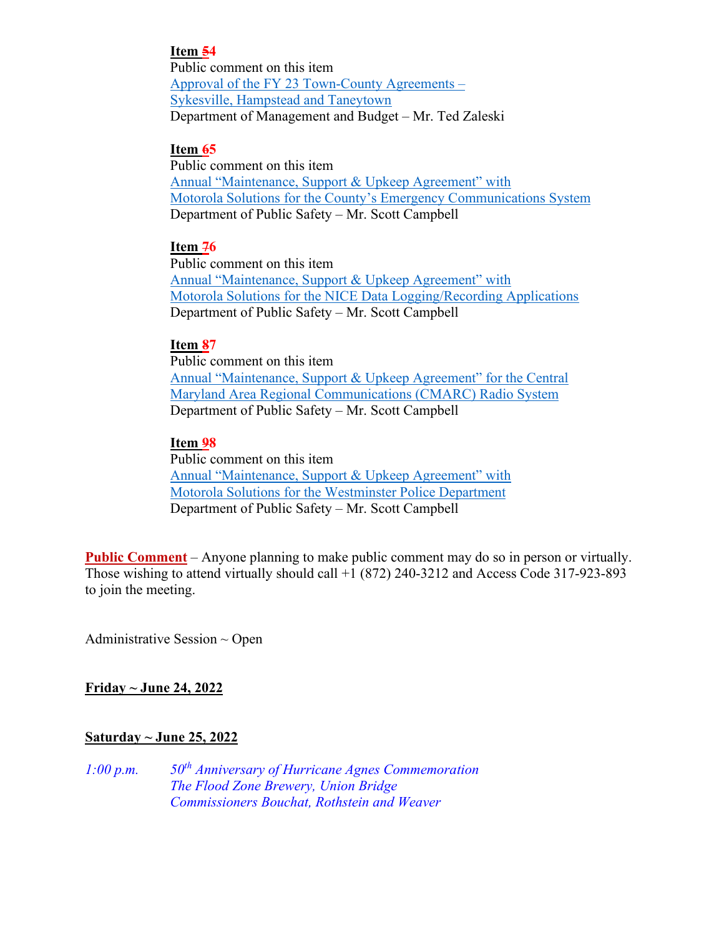# **Item 54**

Public comment on this item [Approval of the FY 23 Town-County Agreements –](#page-7-0)  [Sykesville, Hampstead and Taneytown](#page-7-0) Department of Management and Budget – Mr. Ted Zaleski

## **Item 65**

Public comment on this item [Annual "Maintenance, Support & Upkeep Agreement" with](#page-8-0) [Motorola Solutions for the County's Emergency Communications System](#page-8-0) Department of Public Safety – Mr. Scott Campbell

## **Item 76**

Public comment on this item [Annual "Maintenance, Support & Upkeep Agreement" with](#page-9-0)  [Motorola Solutions for the NICE Data Logging/Recording Applications](#page-9-0) Department of Public Safety – Mr. Scott Campbell

## **Item 87**

Public comment on this item [Annual "Maintenance, Support & Upkeep Agreement" for the Central](#page-10-0)  [Maryland Area Regional Communications \(CMARC\) Radio System](#page-10-0) Department of Public Safety – Mr. Scott Campbell

## **Item 98**

Public comment on this item [Annual "Maintenance, Support & Upkeep Agreement" with](#page-11-0)  [Motorola Solutions for the Westminster Police Department](#page-11-0) Department of Public Safety – Mr. Scott Campbell

**Public Comment** – Anyone planning to make public comment may do so in person or virtually. Those wishing to attend virtually should call +1 (872) 240-3212 and Access Code 317-923-893 to join the meeting.

Administrative Session  $\sim$  Open

# **Friday ~ June 24, 2022**

# **Saturday ~ June 25, 2022**

*1:00 p.m. 50th Anniversary of Hurricane Agnes Commemoration The Flood Zone Brewery, Union Bridge Commissioners Bouchat, Rothstein and Weaver*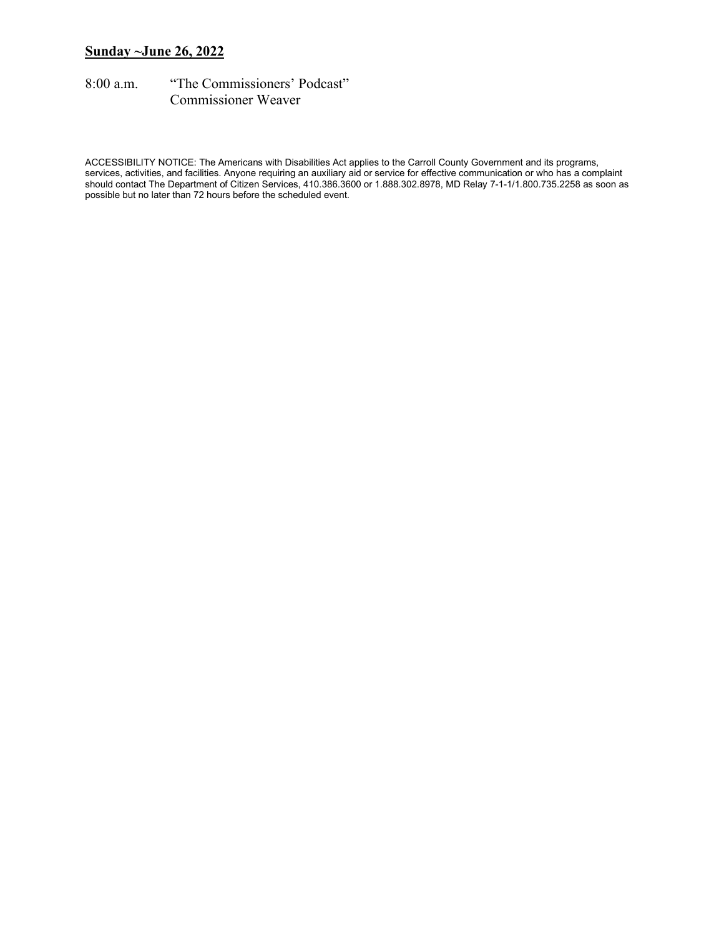## **Sunday ~June 26, 2022**

8:00 a.m. "The Commissioners' Podcast" Commissioner Weaver

ACCESSIBILITY NOTICE: The Americans with Disabilities Act applies to the Carroll County Government and its programs, services, activities, and facilities. Anyone requiring an auxiliary aid or service for effective communication or who has a complaint should contact The Department of Citizen Services, 410.386.3600 or 1.888.302.8978, MD Relay 7-1-1/1.800.735.2258 as soon as possible but no later than 72 hours before the scheduled event.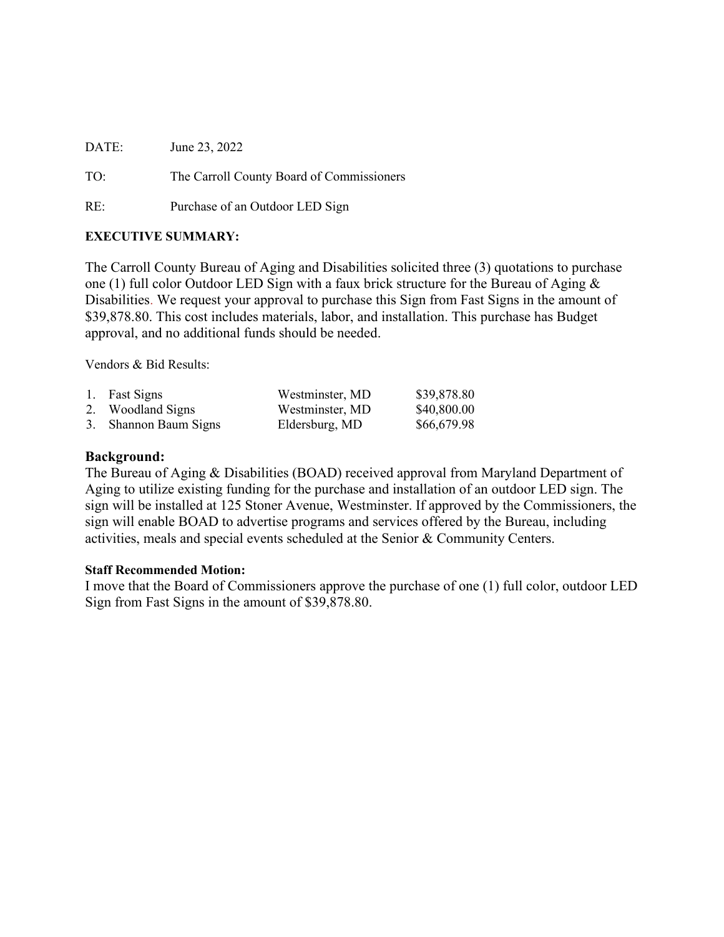<span id="page-4-0"></span>DATE: June 23, 2022 TO: The Carroll County Board of Commissioners RE: Purchase of an Outdoor LED Sign

#### **EXECUTIVE SUMMARY:**

The Carroll County Bureau of Aging and Disabilities solicited three (3) quotations to purchase one (1) full color Outdoor LED Sign with a faux brick structure for the Bureau of Aging & Disabilities. We request your approval to purchase this Sign from Fast Signs in the amount of \$39,878.80. This cost includes materials, labor, and installation. This purchase has Budget approval, and no additional funds should be needed.

Vendors & Bid Results:

| 1. Fast Signs         | Westminster, MD | \$39,878.80 |
|-----------------------|-----------------|-------------|
| 2. Woodland Signs     | Westminster, MD | \$40,800.00 |
| 3. Shannon Baum Signs | Eldersburg, MD  | \$66,679.98 |

#### **Background:**

The Bureau of Aging & Disabilities (BOAD) received approval from Maryland Department of Aging to utilize existing funding for the purchase and installation of an outdoor LED sign. The sign will be installed at 125 Stoner Avenue, Westminster. If approved by the Commissioners, the sign will enable BOAD to advertise programs and services offered by the Bureau, including activities, meals and special events scheduled at the Senior & Community Centers.

#### **Staff Recommended Motion:**

I move that the Board of Commissioners approve the purchase of one (1) full color, outdoor LED Sign from Fast Signs in the amount of \$39,878.80.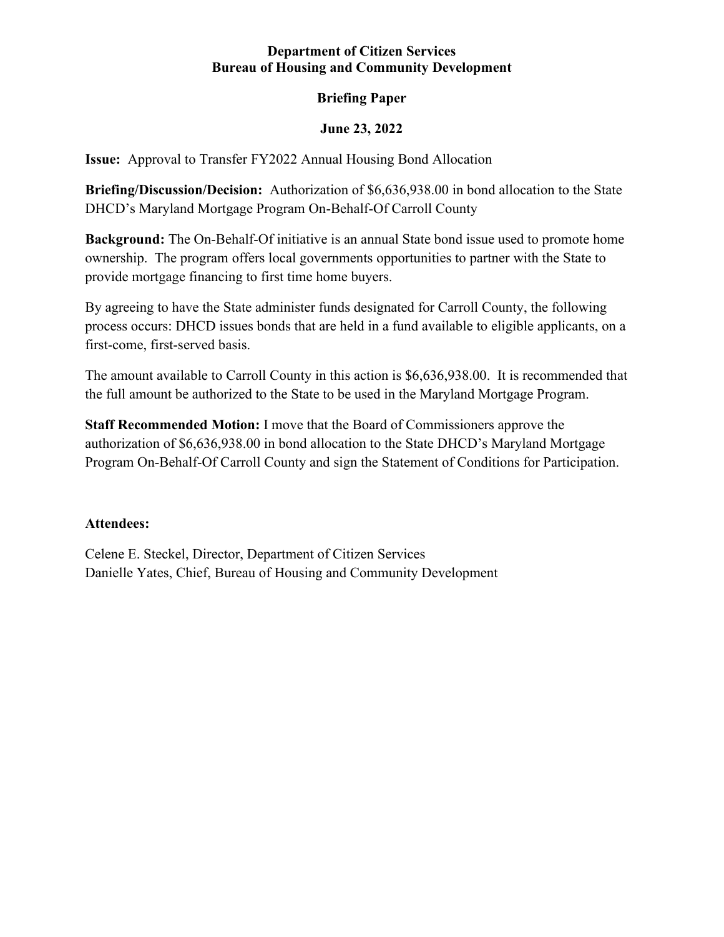## **Department of Citizen Services Bureau of Housing and Community Development**

# **Briefing Paper**

# **June 23, 2022**

<span id="page-5-0"></span>**Issue:** Approval to Transfer FY2022 Annual Housing Bond Allocation

**Briefing/Discussion/Decision:** Authorization of \$6,636,938.00 in bond allocation to the State DHCD's Maryland Mortgage Program On-Behalf-Of Carroll County

**Background:** The On-Behalf-Of initiative is an annual State bond issue used to promote home ownership. The program offers local governments opportunities to partner with the State to provide mortgage financing to first time home buyers.

By agreeing to have the State administer funds designated for Carroll County, the following process occurs: DHCD issues bonds that are held in a fund available to eligible applicants, on a first-come, first-served basis.

The amount available to Carroll County in this action is \$6,636,938.00. It is recommended that the full amount be authorized to the State to be used in the Maryland Mortgage Program.

**Staff Recommended Motion:** I move that the Board of Commissioners approve the authorization of \$6,636,938.00 in bond allocation to the State DHCD's Maryland Mortgage Program On-Behalf-Of Carroll County and sign the Statement of Conditions for Participation.

# **Attendees:**

Celene E. Steckel, Director, Department of Citizen Services Danielle Yates, Chief, Bureau of Housing and Community Development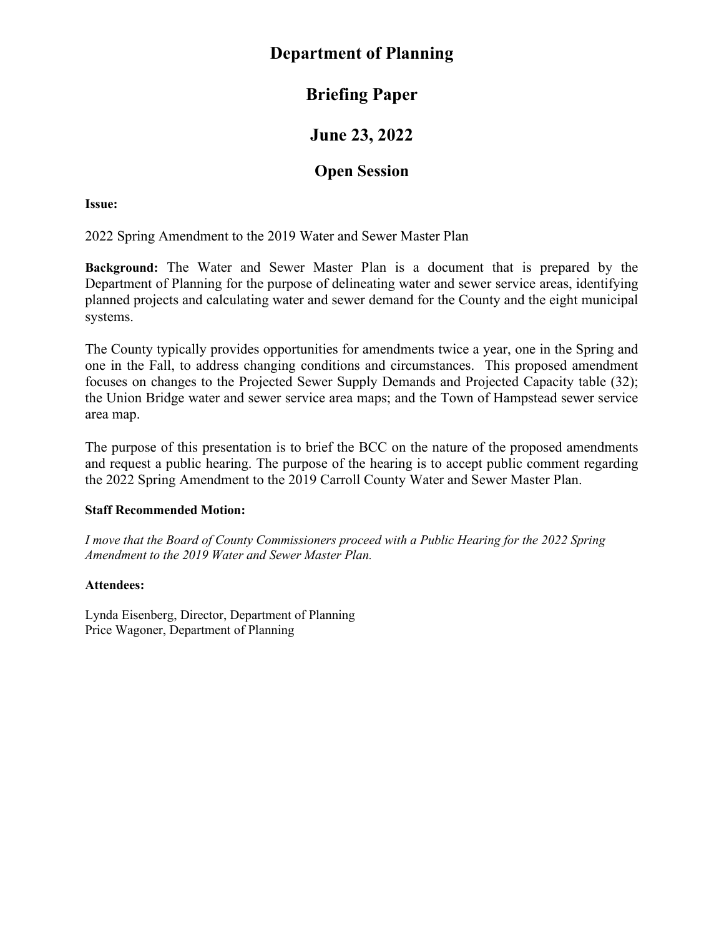# <span id="page-6-0"></span>**Department of Planning**

# **Briefing Paper**

# **June 23, 2022**

# **Open Session**

## **Issue:**

2022 Spring Amendment to the 2019 Water and Sewer Master Plan

**Background:** The Water and Sewer Master Plan is a document that is prepared by the Department of Planning for the purpose of delineating water and sewer service areas, identifying planned projects and calculating water and sewer demand for the County and the eight municipal systems.

The County typically provides opportunities for amendments twice a year, one in the Spring and one in the Fall, to address changing conditions and circumstances. This proposed amendment focuses on changes to the Projected Sewer Supply Demands and Projected Capacity table (32); the Union Bridge water and sewer service area maps; and the Town of Hampstead sewer service area map.

The purpose of this presentation is to brief the BCC on the nature of the proposed amendments and request a public hearing. The purpose of the hearing is to accept public comment regarding the 2022 Spring Amendment to the 2019 Carroll County Water and Sewer Master Plan.

# **Staff Recommended Motion:**

*I move that the Board of County Commissioners proceed with a Public Hearing for the 2022 Spring Amendment to the 2019 Water and Sewer Master Plan.*

# **Attendees:**

Lynda Eisenberg, Director, Department of Planning Price Wagoner, Department of Planning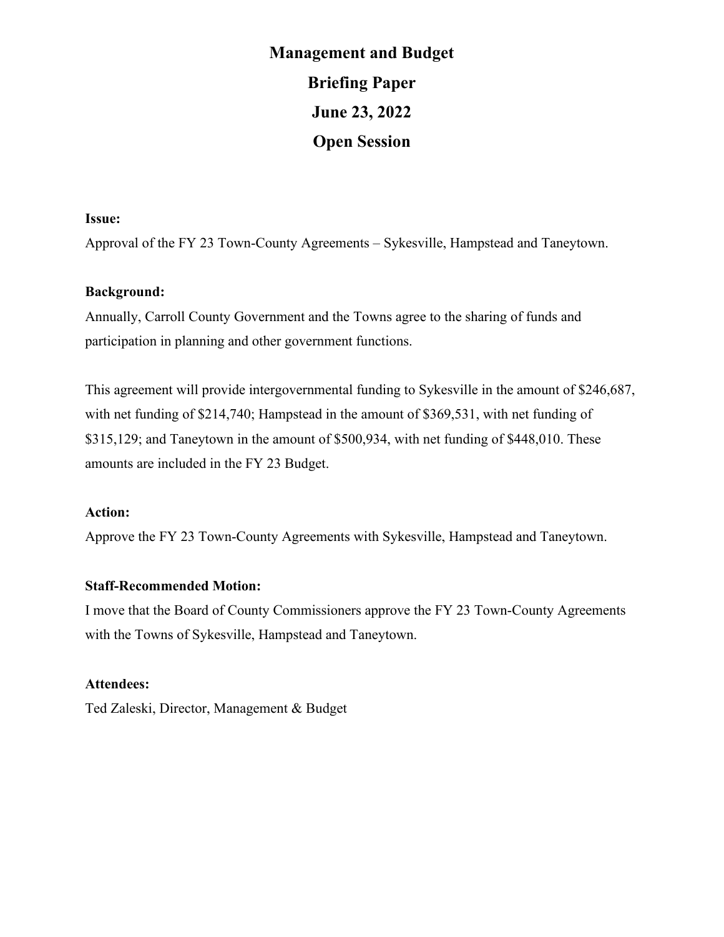# **Management and Budget Briefing Paper June 23, 2022 Open Session**

#### <span id="page-7-0"></span>**Issue:**

Approval of the FY 23 Town-County Agreements – Sykesville, Hampstead and Taneytown.

#### **Background:**

Annually, Carroll County Government and the Towns agree to the sharing of funds and participation in planning and other government functions.

This agreement will provide intergovernmental funding to Sykesville in the amount of \$246,687, with net funding of \$214,740; Hampstead in the amount of \$369,531, with net funding of \$315,129; and Taneytown in the amount of \$500,934, with net funding of \$448,010. These amounts are included in the FY 23 Budget.

#### **Action:**

Approve the FY 23 Town-County Agreements with Sykesville, Hampstead and Taneytown.

#### **Staff-Recommended Motion:**

I move that the Board of County Commissioners approve the FY 23 Town-County Agreements with the Towns of Sykesville, Hampstead and Taneytown.

# **Attendees:**

Ted Zaleski, Director, Management & Budget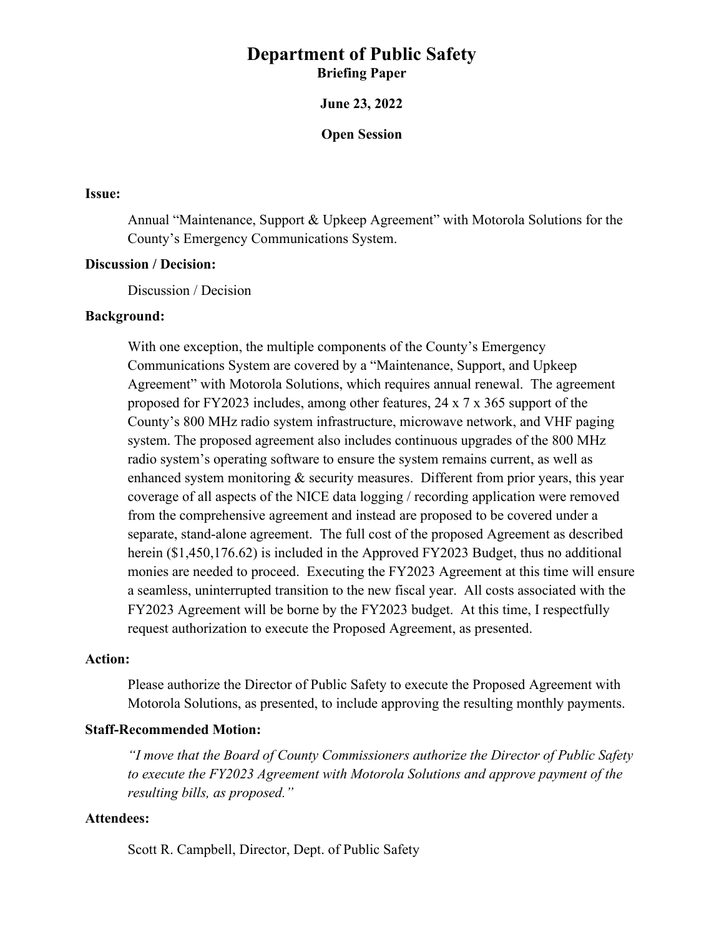**June 23, 2022**

**Open Session**

#### <span id="page-8-0"></span>**Issue:**

Annual "Maintenance, Support & Upkeep Agreement" with Motorola Solutions for the County's Emergency Communications System.

#### **Discussion / Decision:**

Discussion / Decision

#### **Background:**

With one exception, the multiple components of the County's Emergency Communications System are covered by a "Maintenance, Support, and Upkeep Agreement" with Motorola Solutions, which requires annual renewal. The agreement proposed for FY2023 includes, among other features, 24 x 7 x 365 support of the County's 800 MHz radio system infrastructure, microwave network, and VHF paging system. The proposed agreement also includes continuous upgrades of the 800 MHz radio system's operating software to ensure the system remains current, as well as enhanced system monitoring  $\&$  security measures. Different from prior years, this year coverage of all aspects of the NICE data logging / recording application were removed from the comprehensive agreement and instead are proposed to be covered under a separate, stand-alone agreement. The full cost of the proposed Agreement as described herein (\$1,450,176.62) is included in the Approved FY2023 Budget, thus no additional monies are needed to proceed. Executing the FY2023 Agreement at this time will ensure a seamless, uninterrupted transition to the new fiscal year. All costs associated with the FY2023 Agreement will be borne by the FY2023 budget. At this time, I respectfully request authorization to execute the Proposed Agreement, as presented.

#### **Action:**

Please authorize the Director of Public Safety to execute the Proposed Agreement with Motorola Solutions, as presented, to include approving the resulting monthly payments.

#### **Staff-Recommended Motion:**

*"I move that the Board of County Commissioners authorize the Director of Public Safety to execute the FY2023 Agreement with Motorola Solutions and approve payment of the resulting bills, as proposed."*

## **Attendees:**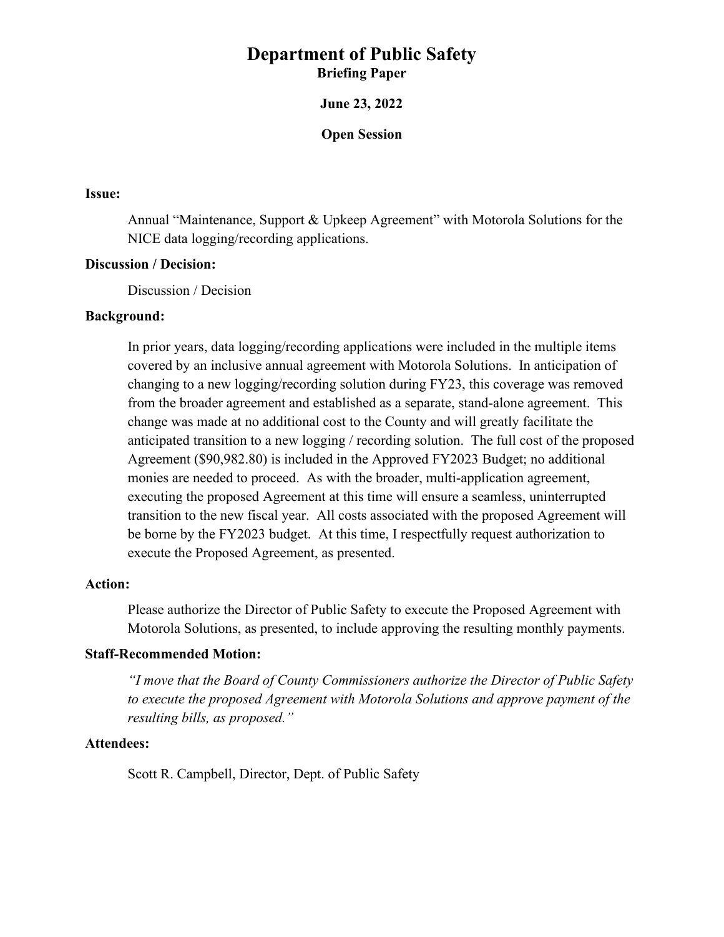**June 23, 2022**

#### **Open Session**

#### <span id="page-9-0"></span>**Issue:**

Annual "Maintenance, Support & Upkeep Agreement" with Motorola Solutions for the NICE data logging/recording applications.

#### **Discussion / Decision:**

Discussion / Decision

#### **Background:**

In prior years, data logging/recording applications were included in the multiple items covered by an inclusive annual agreement with Motorola Solutions. In anticipation of changing to a new logging/recording solution during FY23, this coverage was removed from the broader agreement and established as a separate, stand-alone agreement. This change was made at no additional cost to the County and will greatly facilitate the anticipated transition to a new logging / recording solution. The full cost of the proposed Agreement (\$90,982.80) is included in the Approved FY2023 Budget; no additional monies are needed to proceed. As with the broader, multi-application agreement, executing the proposed Agreement at this time will ensure a seamless, uninterrupted transition to the new fiscal year. All costs associated with the proposed Agreement will be borne by the FY2023 budget. At this time, I respectfully request authorization to execute the Proposed Agreement, as presented.

#### **Action:**

Please authorize the Director of Public Safety to execute the Proposed Agreement with Motorola Solutions, as presented, to include approving the resulting monthly payments.

#### **Staff-Recommended Motion:**

*"I move that the Board of County Commissioners authorize the Director of Public Safety to execute the proposed Agreement with Motorola Solutions and approve payment of the resulting bills, as proposed."*

#### **Attendees:**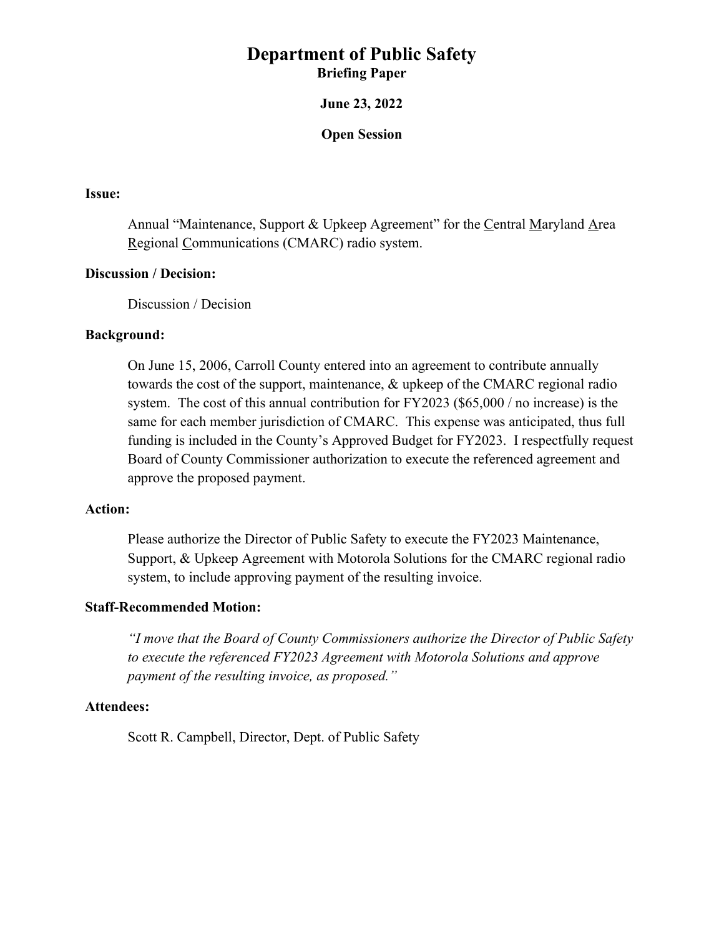#### **June 23, 2022**

#### **Open Session**

#### <span id="page-10-0"></span>**Issue:**

Annual "Maintenance, Support & Upkeep Agreement" for the Central Maryland Area Regional Communications (CMARC) radio system.

#### **Discussion / Decision:**

Discussion / Decision

#### **Background:**

On June 15, 2006, Carroll County entered into an agreement to contribute annually towards the cost of the support, maintenance, & upkeep of the CMARC regional radio system. The cost of this annual contribution for FY2023 (\$65,000 / no increase) is the same for each member jurisdiction of CMARC. This expense was anticipated, thus full funding is included in the County's Approved Budget for FY2023. I respectfully request Board of County Commissioner authorization to execute the referenced agreement and approve the proposed payment.

#### **Action:**

Please authorize the Director of Public Safety to execute the FY2023 Maintenance, Support, & Upkeep Agreement with Motorola Solutions for the CMARC regional radio system, to include approving payment of the resulting invoice.

#### **Staff-Recommended Motion:**

*"I move that the Board of County Commissioners authorize the Director of Public Safety to execute the referenced FY2023 Agreement with Motorola Solutions and approve payment of the resulting invoice, as proposed."* 

#### **Attendees:**